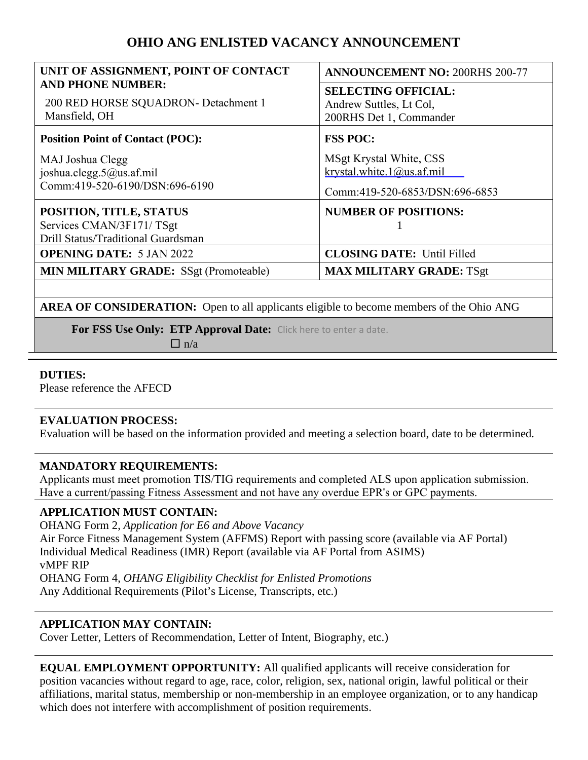# **OHIO ANG ENLISTED VACANCY ANNOUNCEMENT**

| UNIT OF ASSIGNMENT, POINT OF CONTACT<br><b>AND PHONE NUMBER:</b><br>200 RED HORSE SQUADRON- Detachment 1<br>Mansfield, OH | <b>ANNOUNCEMENT NO: 200RHS 200-77</b>                                                  |
|---------------------------------------------------------------------------------------------------------------------------|----------------------------------------------------------------------------------------|
|                                                                                                                           | <b>SELECTING OFFICIAL:</b><br>Andrew Suttles, Lt Col,<br>200RHS Det 1, Commander       |
| <b>Position Point of Contact (POC):</b>                                                                                   | <b>FSS POC:</b>                                                                        |
| MAJ Joshua Clegg<br>joshua.clegg.5@us.af.mil<br>Comm:419-520-6190/DSN:696-6190                                            | MSgt Krystal White, CSS<br>krystal.white.1@us.af.mil<br>Comm:419-520-6853/DSN:696-6853 |
| POSITION, TITLE, STATUS<br>Services CMAN/3F171/TSgt<br>Drill Status/Traditional Guardsman                                 | <b>NUMBER OF POSITIONS:</b>                                                            |
| <b>OPENING DATE: 5 JAN 2022</b>                                                                                           | <b>CLOSING DATE: Until Filled</b>                                                      |
| <b>MIN MILITARY GRADE:</b> SSgt (Promoteable)                                                                             | <b>MAX MILITARY GRADE: TSgt</b>                                                        |

**AREA OF CONSIDERATION:** Open to all applicants eligible to become members of the Ohio ANG

**For FSS Use Only: ETP Approval Date:** Click here to enter a date.

 $\Box$  n/a

# **DUTIES:**

Please reference the AFECD

## **EVALUATION PROCESS:**

Evaluation will be based on the information provided and meeting a selection board, date to be determined.

## **MANDATORY REQUIREMENTS:**

Applicants must meet promotion TIS/TIG requirements and completed ALS upon application submission. Have a current/passing Fitness Assessment and not have any overdue EPR's or GPC payments.

## **APPLICATION MUST CONTAIN:**

OHANG Form 2, *Application for E6 and Above Vacancy*  Air Force Fitness Management System (AFFMS) Report with passing score (available via AF Portal) Individual Medical Readiness (IMR) Report (available via AF Portal from ASIMS) vMPF RIP OHANG Form 4, *OHANG Eligibility Checklist for Enlisted Promotions* Any Additional Requirements (Pilot's License, Transcripts, etc.)

## **APPLICATION MAY CONTAIN:**

Cover Letter, Letters of Recommendation, Letter of Intent, Biography, etc.)

**EQUAL EMPLOYMENT OPPORTUNITY:** All qualified applicants will receive consideration for position vacancies without regard to age, race, color, religion, sex, national origin, lawful political or their affiliations, marital status, membership or non-membership in an employee organization, or to any handicap which does not interfere with accomplishment of position requirements.